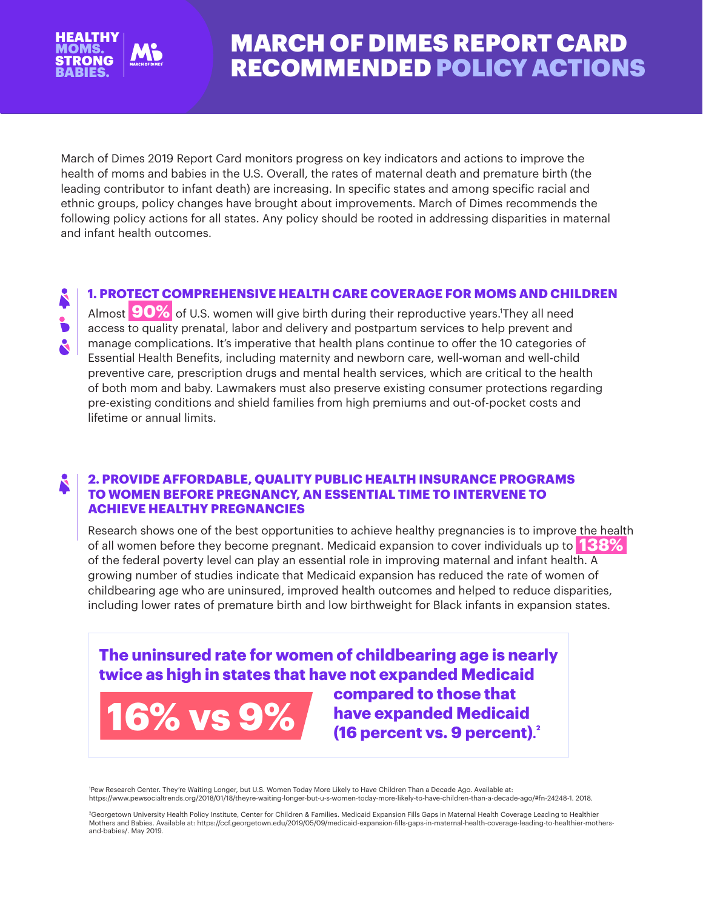

# MARCH OF DIMES REPORT CARD RECOMMENDED POLICY ACTIONS

March of Dimes 2019 Report Card monitors progress on key indicators and actions to improve the health of moms and babies in the U.S. Overall, the rates of maternal death and premature birth (the leading contributor to infant death) are increasing. In specific states and among specific racial and ethnic groups, policy changes have brought about improvements. March of Dimes recommends the following policy actions for all states. Any policy should be rooted in addressing disparities in maternal and infant health outcomes.

#### **1. PROTECT COMPREHENSIVE HEALTH CARE COVERAGE FOR MOMS AND CHILDREN**

Almost **90%** of U.S. women will give birth during their reproductive years.1 They all need access to quality prenatal, labor and delivery and postpartum services to help prevent and manage complications. It's imperative that health plans continue to offer the 10 categories of Essential Health Benefits, including maternity and newborn care, well-woman and well-child preventive care, prescription drugs and mental health services, which are critical to the health of both mom and baby. Lawmakers must also preserve existing consumer protections regarding pre-existing conditions and shield families from high premiums and out-of-pocket costs and lifetime or annual limits.

#### **2. PROVIDE AFFORDABLE, QUALITY PUBLIC HEALTH INSURANCE PROGRAMS TO WOMEN BEFORE PREGNANCY, AN ESSENTIAL TIME TO INTERVENE TO ACHIEVE HEALTHY PREGNANCIES**

Research shows one of the best opportunities to achieve healthy pregnancies is to improve the health of all women before they become pregnant. Medicaid expansion to cover individuals up to **138%** of the federal poverty level can play an essential role in improving maternal and infant health. A growing number of studies indicate that Medicaid expansion has reduced the rate of women of childbearing age who are uninsured, improved health outcomes and helped to reduce disparities, including lower rates of premature birth and low birthweight for Black infants in expansion states.

## **The uninsured rate for women of childbearing age is nearly twice as high in states that have not expanded Medicaid**



**compared to those that have expanded Medicaid (16 percent vs. 9 percent). 2**

1 Pew Research Center. They're Waiting Longer, but U.S. Women Today More Likely to Have Children Than a Decade Ago. Available at: https://www.pewsocialtrends.org/2018/01/18/theyre-waiting-longer-but-u-s-women-today-more-likely-to-have-children-than-a-decade-ago/#fn-24248-1. 2018.

2 Georgetown University Health Policy Institute, Center for Children & Families. Medicaid Expansion Fills Gaps in Maternal Health Coverage Leading to Healthier Mothers and Babies. Available at: https://ccf.georgetown.edu/2019/05/09/medicaid-expansion-fills-gaps-in-maternal-health-coverage-leading-to-healthier-mothersand-babies/. May 2019.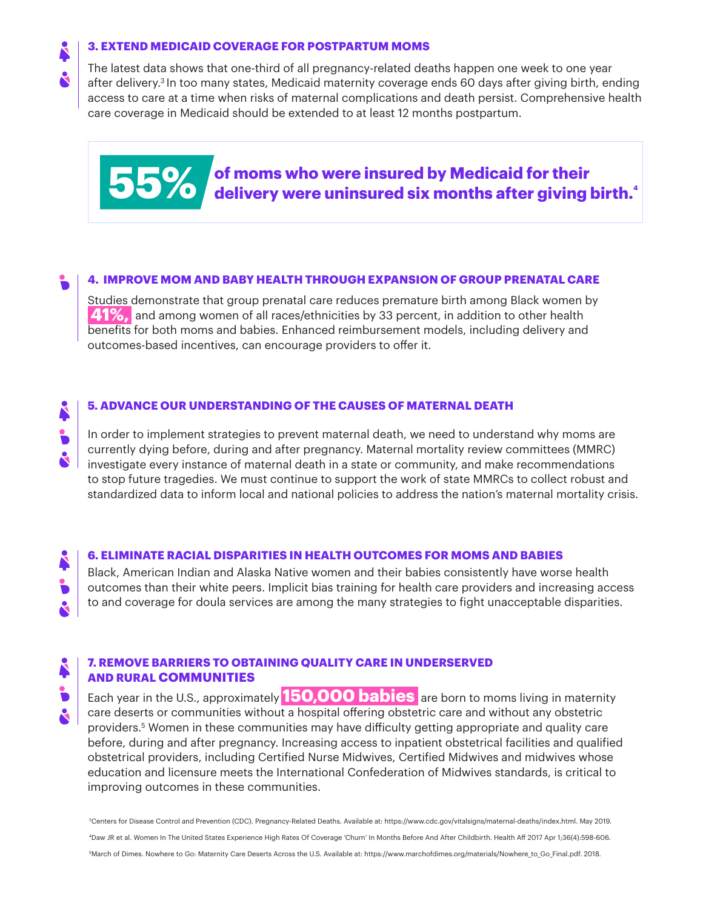#### **3. EXTEND MEDICAID COVERAGE FOR POSTPARTUM MOMS**

The latest data shows that one-third of all pregnancy-related deaths happen one week to one year after delivery.3 In too many states, Medicaid maternity coverage ends 60 days after giving birth, ending access to care at a time when risks of maternal complications and death persist. Comprehensive health care coverage in Medicaid should be extended to at least 12 months postpartum.



#### **4. IMPROVE MOM AND BABY HEALTH THROUGH EXPANSION OF GROUP PRENATAL CARE**

Studies demonstrate that group prenatal care reduces premature birth among Black women by **41%,** and among women of all races/ethnicities by 33 percent, in addition to other health benefits for both moms and babies. Enhanced reimbursement models, including delivery and outcomes-based incentives, can encourage providers to offer it.

# Å  $\mathbf{S}$

#### **5. ADVANCE OUR UNDERSTANDING OF THE CAUSES OF MATERNAL DEATH**

In order to implement strategies to prevent maternal death, we need to understand why moms are currently dying before, during and after pregnancy. Maternal mortality review committees (MMRC)  $\perp$  investigate every instance of maternal death in a state or community, and make recommendations to stop future tragedies. We must continue to support the work of state MMRCs to collect robust and standardized data to inform local and national policies to address the nation's maternal mortality crisis.

#### **6. ELIMINATE RACIAL DISPARITIES IN HEALTH OUTCOMES FOR MOMS AND BABIES**

Black, American Indian and Alaska Native women and their babies consistently have worse health outcomes than their white peers. Implicit bias training for health care providers and increasing access to and coverage for doula services are among the many strategies to fight unacceptable disparities.

#### **7. REMOVE BARRIERS TO OBTAINING QUALITY CARE IN UNDERSERVED AND RURAL COMMUNITIES**

Each year in the U.S., approximately **150,000 babies** are born to moms living in maternity care deserts or communities without a hospital offering obstetric care and without any obstetric providers.5 Women in these communities may have difficulty getting appropriate and quality care before, during and after pregnancy. Increasing access to inpatient obstetrical facilities and qualified obstetrical providers, including Certified Nurse Midwives, Certified Midwives and midwives whose education and licensure meets the International Confederation of Midwives standards, is critical to improving outcomes in these communities.

3Centers for Disease Control and Prevention (CDC). Pregnancy-Related Deaths. Available at: https://www.cdc.gov/vitalsigns/maternal-deaths/index.html. May 2019. 4Daw JR et al. Women In The United States Experience High Rates Of Coverage 'Churn' In Months Before And After Childbirth. Health Aff 2017 Apr 1;36(4):598-606. 5March of Dimes. Nowhere to Go: Maternity Care Deserts Across the U.S. Available at: https://www.marchofdimes.org/materials/Nowhere\_to\_Go\_Final.pdf. 2018.